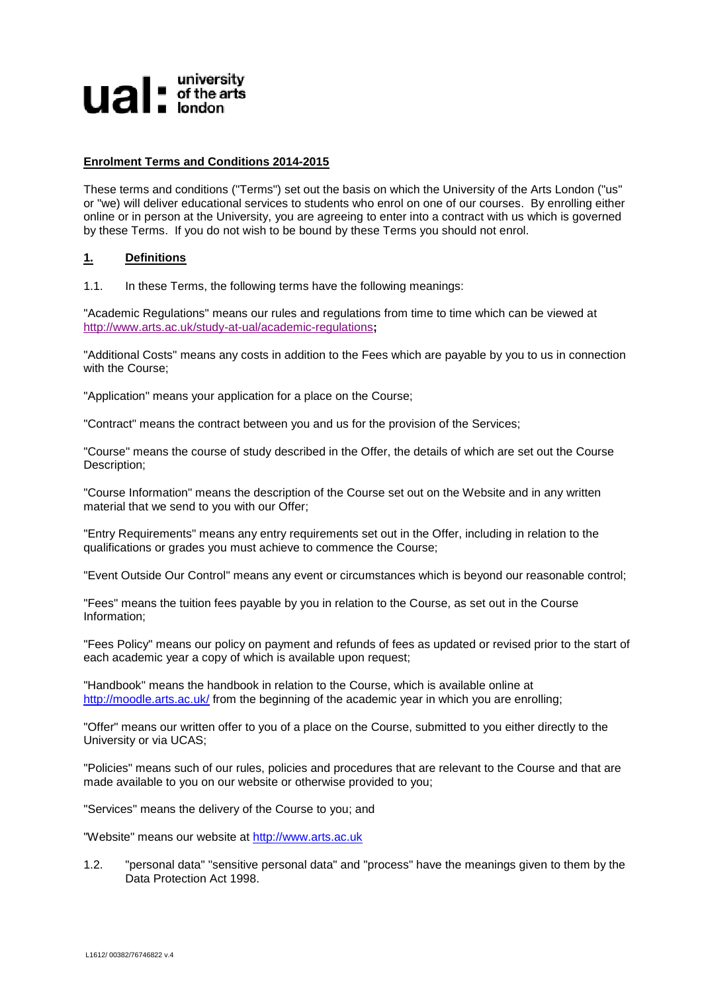# $$

## **Enrolment Terms and Conditions 2014-2015**

These terms and conditions ("Terms") set out the basis on which the University of the Arts London ("us" or "we) will deliver educational services to students who enrol on one of our courses. By enrolling either online or in person at the University, you are agreeing to enter into a contract with us which is governed by these Terms. If you do not wish to be bound by these Terms you should not enrol.

## **1. Definitions**

1.1. In these Terms, the following terms have the following meanings:

"Academic Regulations" means our rules and regulations from time to time which can be viewed at <http://www.arts.ac.uk/study-at-ual/academic-regulations>**;**

"Additional Costs" means any costs in addition to the Fees which are payable by you to us in connection with the Course;

"Application" means your application for a place on the Course;

"Contract" means the contract between you and us for the provision of the Services;

"Course" means the course of study described in the Offer, the details of which are set out the Course Description;

"Course Information" means the description of the Course set out on the Website and in any written material that we send to you with our Offer;

"Entry Requirements" means any entry requirements set out in the Offer, including in relation to the qualifications or grades you must achieve to commence the Course;

"Event Outside Our Control" means any event or circumstances which is beyond our reasonable control;

"Fees" means the tuition fees payable by you in relation to the Course, as set out in the Course Information;

"Fees Policy" means our policy on payment and refunds of fees as updated or revised prior to the start of each academic year a copy of which is available upon request;

"Handbook" means the handbook in relation to the Course, which is available online at <http://moodle.arts.ac.uk/> from the beginning of the academic year in which you are enrolling;

"Offer" means our written offer to you of a place on the Course, submitted to you either directly to the University or via UCAS;

"Policies" means such of our rules, policies and procedures that are relevant to the Course and that are made available to you on our website or otherwise provided to you;

"Services" means the delivery of the Course to you; and

"Website" means our website at [http://www.arts.ac.uk](http://www.arts.ac.uk/)

1.2. "personal data" "sensitive personal data" and "process" have the meanings given to them by the Data Protection Act 1998.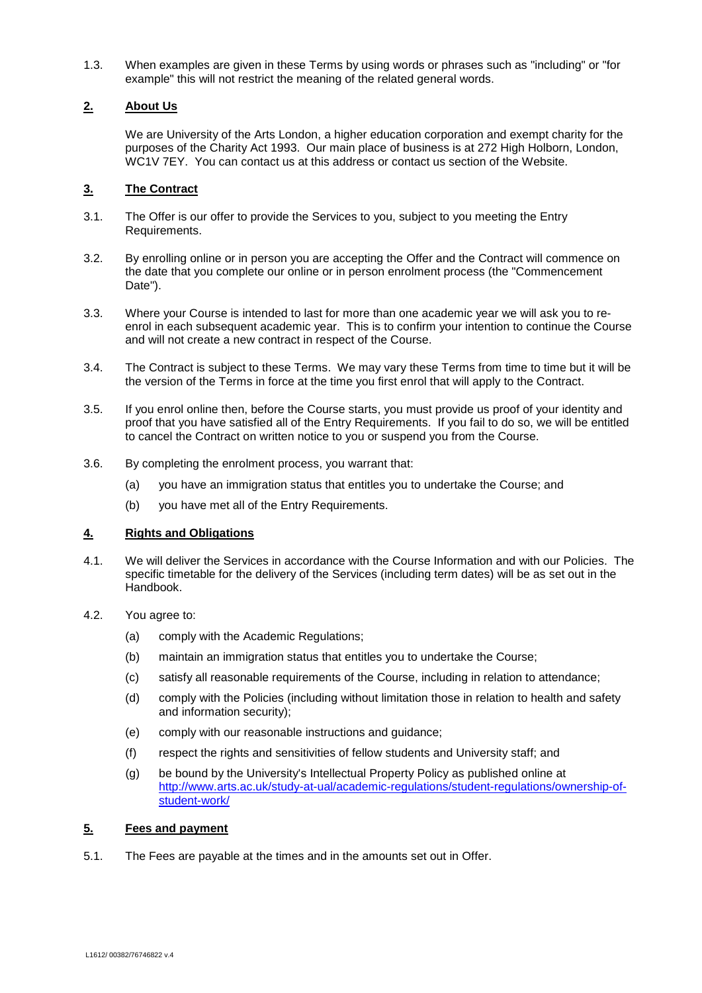1.3. When examples are given in these Terms by using words or phrases such as "including" or "for example" this will not restrict the meaning of the related general words.

# **2. About Us**

We are University of the Arts London, a higher education corporation and exempt charity for the purposes of the Charity Act 1993. Our main place of business is at 272 High Holborn, London, WC1V 7EY. You can contact us at this address or contact us section of the Website.

# **3. The Contract**

- 3.1. The Offer is our offer to provide the Services to you, subject to you meeting the Entry Requirements.
- 3.2. By enrolling online or in person you are accepting the Offer and the Contract will commence on the date that you complete our online or in person enrolment process (the "Commencement Date").
- 3.3. Where your Course is intended to last for more than one academic year we will ask you to reenrol in each subsequent academic year. This is to confirm your intention to continue the Course and will not create a new contract in respect of the Course.
- 3.4. The Contract is subject to these Terms. We may vary these Terms from time to time but it will be the version of the Terms in force at the time you first enrol that will apply to the Contract.
- 3.5. If you enrol online then, before the Course starts, you must provide us proof of your identity and proof that you have satisfied all of the Entry Requirements. If you fail to do so, we will be entitled to cancel the Contract on written notice to you or suspend you from the Course.
- 3.6. By completing the enrolment process, you warrant that:
	- (a) you have an immigration status that entitles you to undertake the Course; and
	- (b) you have met all of the Entry Requirements.

# **4. Rights and Obligations**

- 4.1. We will deliver the Services in accordance with the Course Information and with our Policies. The specific timetable for the delivery of the Services (including term dates) will be as set out in the Handbook.
- 4.2. You agree to:
	- (a) comply with the Academic Regulations;
	- (b) maintain an immigration status that entitles you to undertake the Course;
	- (c) satisfy all reasonable requirements of the Course, including in relation to attendance;
	- (d) comply with the Policies (including without limitation those in relation to health and safety and information security);
	- (e) comply with our reasonable instructions and guidance;
	- (f) respect the rights and sensitivities of fellow students and University staff; and
	- (g) be bound by the University's Intellectual Property Policy as published online at [http://www.arts.ac.uk/study-at-ual/academic-regulations/student-regulations/ownership-of](http://www.arts.ac.uk/study-at-ual/academic-regulations/student-regulations/ownership-of-student-work/)[student-work/](http://www.arts.ac.uk/study-at-ual/academic-regulations/student-regulations/ownership-of-student-work/)

# **5. Fees and payment**

5.1. The Fees are payable at the times and in the amounts set out in Offer.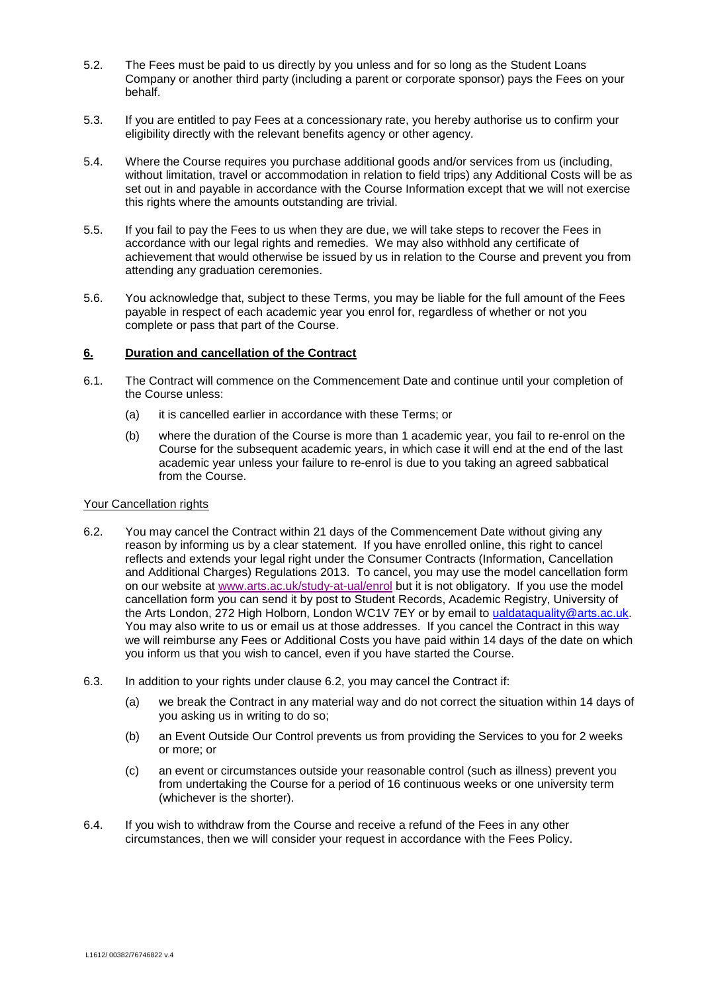- 5.2. The Fees must be paid to us directly by you unless and for so long as the Student Loans Company or another third party (including a parent or corporate sponsor) pays the Fees on your behalf.
- 5.3. If you are entitled to pay Fees at a concessionary rate, you hereby authorise us to confirm your eligibility directly with the relevant benefits agency or other agency.
- 5.4. Where the Course requires you purchase additional goods and/or services from us (including, without limitation, travel or accommodation in relation to field trips) any Additional Costs will be as set out in and payable in accordance with the Course Information except that we will not exercise this rights where the amounts outstanding are trivial.
- 5.5. If you fail to pay the Fees to us when they are due, we will take steps to recover the Fees in accordance with our legal rights and remedies. We may also withhold any certificate of achievement that would otherwise be issued by us in relation to the Course and prevent you from attending any graduation ceremonies.
- 5.6. You acknowledge that, subject to these Terms, you may be liable for the full amount of the Fees payable in respect of each academic year you enrol for, regardless of whether or not you complete or pass that part of the Course.

#### **6. Duration and cancellation of the Contract**

- 6.1. The Contract will commence on the Commencement Date and continue until your completion of the Course unless:
	- (a) it is cancelled earlier in accordance with these Terms; or
	- (b) where the duration of the Course is more than 1 academic year, you fail to re-enrol on the Course for the subsequent academic years, in which case it will end at the end of the last academic year unless your failure to re-enrol is due to you taking an agreed sabbatical from the Course.

#### <span id="page-2-0"></span>Your Cancellation rights

- 6.2. You may cancel the Contract within 21 days of the Commencement Date without giving any reason by informing us by a clear statement. If you have enrolled online, this right to cancel reflects and extends your legal right under the Consumer Contracts (Information, Cancellation and Additional Charges) Regulations 2013. To cancel, you may use the model cancellation form on our website at [www.arts.ac.uk/study-at-ual/enrol](http://www.arts.ac.uk/study-at-ual/enrol) but it is not obligatory. If you use the model cancellation form you can send it by post to Student Records, Academic Registry, University of the Arts London, 272 High Holborn, London WC1V 7EY or by email to [ualdataquality@arts.ac.uk.](mailto:ualdataquality@arts.ac.uk) You may also write to us or email us at those addresses. If you cancel the Contract in this way we will reimburse any Fees or Additional Costs you have paid within 14 days of the date on which you inform us that you wish to cancel, even if you have started the Course.
- <span id="page-2-1"></span>6.3. In addition to your rights under clause [6.2,](#page-2-0) you may cancel the Contract if:
	- (a) we break the Contract in any material way and do not correct the situation within 14 days of you asking us in writing to do so;
	- (b) an Event Outside Our Control prevents us from providing the Services to you for 2 weeks or more; or
	- (c) an event or circumstances outside your reasonable control (such as illness) prevent you from undertaking the Course for a period of 16 continuous weeks or one university term (whichever is the shorter).
- 6.4. If you wish to withdraw from the Course and receive a refund of the Fees in any other circumstances, then we will consider your request in accordance with the Fees Policy.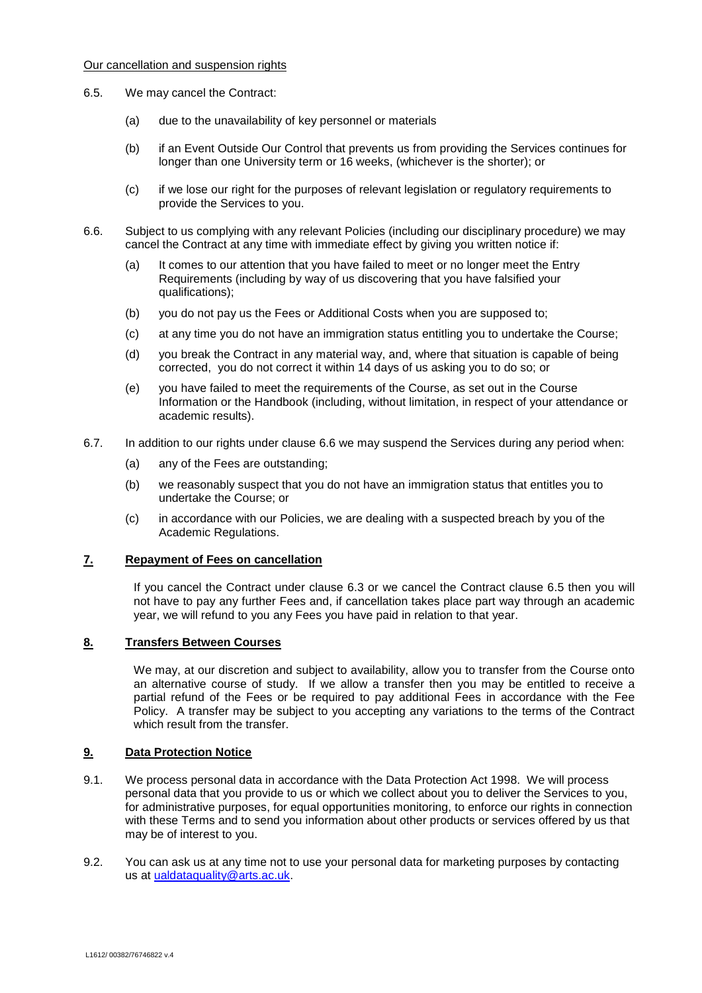### <span id="page-3-1"></span>Our cancellation and suspension rights

- 6.5. We may cancel the Contract:
	- (a) due to the unavailability of key personnel or materials
	- (b) if an Event Outside Our Control that prevents us from providing the Services continues for longer than one University term or 16 weeks, (whichever is the shorter); or
	- (c) if we lose our right for the purposes of relevant legislation or regulatory requirements to provide the Services to you.
- <span id="page-3-0"></span>6.6. Subject to us complying with any relevant Policies (including our disciplinary procedure) we may cancel the Contract at any time with immediate effect by giving you written notice if:
	- (a) It comes to our attention that you have failed to meet or no longer meet the Entry Requirements (including by way of us discovering that you have falsified your qualifications);
	- (b) you do not pay us the Fees or Additional Costs when you are supposed to;
	- (c) at any time you do not have an immigration status entitling you to undertake the Course;
	- (d) you break the Contract in any material way, and, where that situation is capable of being corrected, you do not correct it within 14 days of us asking you to do so; or
	- (e) you have failed to meet the requirements of the Course, as set out in the Course Information or the Handbook (including, without limitation, in respect of your attendance or academic results).
- 6.7. In addition to our rights under clause [6.6](#page-3-0) we may suspend the Services during any period when:
	- (a) any of the Fees are outstanding;
	- (b) we reasonably suspect that you do not have an immigration status that entitles you to undertake the Course; or
	- (c) in accordance with our Policies, we are dealing with a suspected breach by you of the Academic Regulations.

#### **7. Repayment of Fees on cancellation**

If you cancel the Contract under clause [6.3](#page-2-1) or we cancel the Contract clause [6.5](#page-3-1) then you will not have to pay any further Fees and, if cancellation takes place part way through an academic year, we will refund to you any Fees you have paid in relation to that year.

## **8. Transfers Between Courses**

We may, at our discretion and subject to availability, allow you to transfer from the Course onto an alternative course of study. If we allow a transfer then you may be entitled to receive a partial refund of the Fees or be required to pay additional Fees in accordance with the Fee Policy. A transfer may be subject to you accepting any variations to the terms of the Contract which result from the transfer.

#### **9. Data Protection Notice**

- 9.1. We process personal data in accordance with the Data Protection Act 1998. We will process personal data that you provide to us or which we collect about you to deliver the Services to you, for administrative purposes, for equal opportunities monitoring, to enforce our rights in connection with these Terms and to send you information about other products or services offered by us that may be of interest to you.
- 9.2. You can ask us at any time not to use your personal data for marketing purposes by contacting us at [ualdataquality@arts.ac.uk.](mailto:ualdataquality@arts.ac.uk)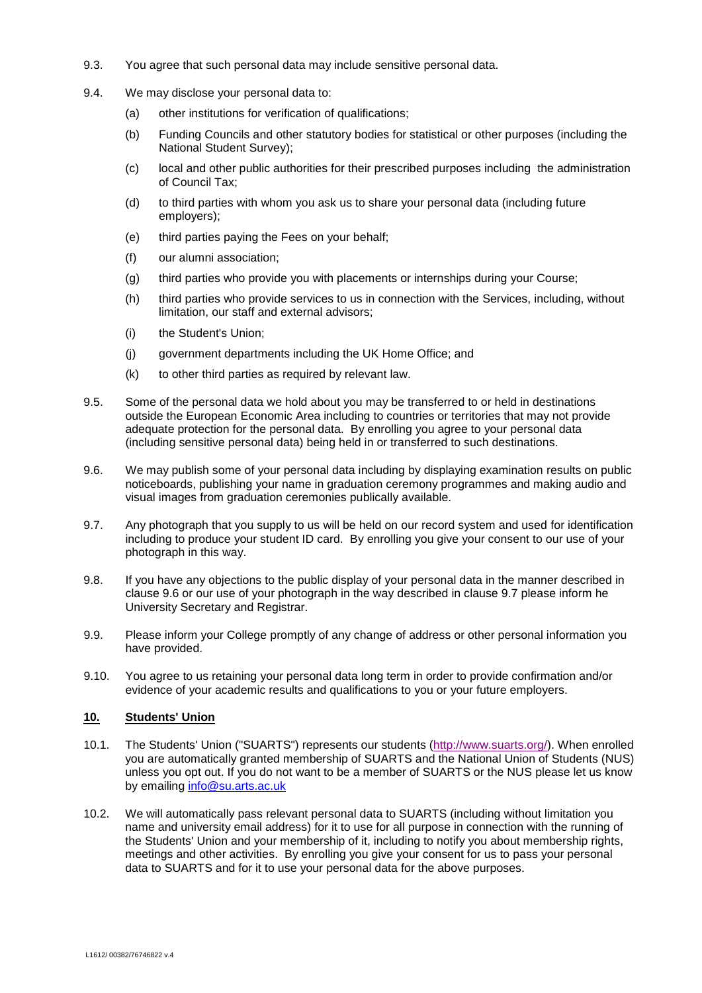- 9.3. You agree that such personal data may include sensitive personal data.
- 9.4. We may disclose your personal data to:
	- (a) other institutions for verification of qualifications;
	- (b) Funding Councils and other statutory bodies for statistical or other purposes (including the National Student Survey);
	- (c) local and other public authorities for their prescribed purposes including the administration of Council Tax;
	- (d) to third parties with whom you ask us to share your personal data (including future employers);
	- (e) third parties paying the Fees on your behalf;
	- (f) our alumni association;
	- (g) third parties who provide you with placements or internships during your Course;
	- (h) third parties who provide services to us in connection with the Services, including, without limitation, our staff and external advisors;
	- (i) the Student's Union;
	- (j) government departments including the UK Home Office; and
	- (k) to other third parties as required by relevant law.
- 9.5. Some of the personal data we hold about you may be transferred to or held in destinations outside the European Economic Area including to countries or territories that may not provide adequate protection for the personal data. By enrolling you agree to your personal data (including sensitive personal data) being held in or transferred to such destinations.
- <span id="page-4-0"></span>9.6. We may publish some of your personal data including by displaying examination results on public noticeboards, publishing your name in graduation ceremony programmes and making audio and visual images from graduation ceremonies publically available.
- <span id="page-4-1"></span>9.7. Any photograph that you supply to us will be held on our record system and used for identification including to produce your student ID card. By enrolling you give your consent to our use of your photograph in this way.
- 9.8. If you have any objections to the public display of your personal data in the manner described in clause [9.6](#page-4-0) or our use of your photograph in the way described in clause [9.7](#page-4-1) please inform he University Secretary and Registrar.
- 9.9. Please inform your College promptly of any change of address or other personal information you have provided.
- 9.10. You agree to us retaining your personal data long term in order to provide confirmation and/or evidence of your academic results and qualifications to you or your future employers.

# **10. Students' Union**

- 10.1. The Students' Union ("SUARTS") represents our students [\(http://www.suarts.org/\)](http://www.suarts.org/). When enrolled you are automatically granted membership of SUARTS and the National Union of Students (NUS) unless you opt out. If you do not want to be a member of SUARTS or the NUS please let us know by emailing [info@su.arts.ac.uk](mailto:info@su.arts.ac.uk)
- 10.2. We will automatically pass relevant personal data to SUARTS (including without limitation you name and university email address) for it to use for all purpose in connection with the running of the Students' Union and your membership of it, including to notify you about membership rights, meetings and other activities. By enrolling you give your consent for us to pass your personal data to SUARTS and for it to use your personal data for the above purposes.